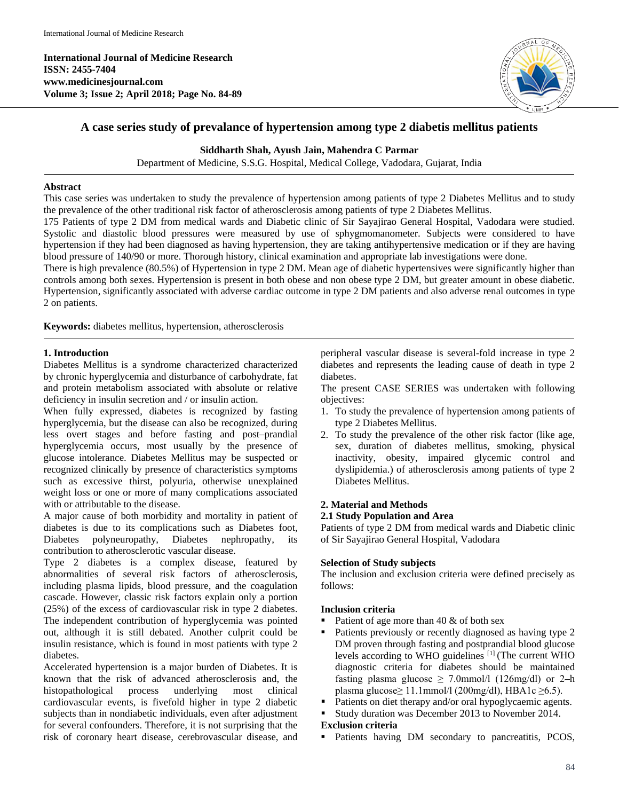**International Journal of Medicine Research ISSN: 2455-7404 www.medicinesjournal.com Volume 3; Issue 2; April 2018; Page No. 84-89**



# **A case series study of prevalance of hypertension among type 2 diabetis mellitus patients**

# **Siddharth Shah, Ayush Jain, Mahendra C Parmar**

Department of Medicine, S.S.G. Hospital, Medical College, Vadodara, Gujarat, India

## **Abstract**

This case series was undertaken to study the prevalence of hypertension among patients of type 2 Diabetes Mellitus and to study the prevalence of the other traditional risk factor of atherosclerosis among patients of type 2 Diabetes Mellitus.

175 Patients of type 2 DM from medical wards and Diabetic clinic of Sir Sayajirao General Hospital, Vadodara were studied. Systolic and diastolic blood pressures were measured by use of sphygmomanometer. Subjects were considered to have hypertension if they had been diagnosed as having hypertension, they are taking antihypertensive medication or if they are having blood pressure of 140/90 or more. Thorough history, clinical examination and appropriate lab investigations were done.

There is high prevalence (80.5%) of Hypertension in type 2 DM. Mean age of diabetic hypertensives were significantly higher than controls among both sexes. Hypertension is present in both obese and non obese type 2 DM, but greater amount in obese diabetic. Hypertension, significantly associated with adverse cardiac outcome in type 2 DM patients and also adverse renal outcomes in type 2 on patients.

**Keywords:** diabetes mellitus, hypertension, atherosclerosis

# **1. Introduction**

Diabetes Mellitus is a syndrome characterized characterized by chronic hyperglycemia and disturbance of carbohydrate, fat and protein metabolism associated with absolute or relative deficiency in insulin secretion and / or insulin action.

When fully expressed, diabetes is recognized by fasting hyperglycemia, but the disease can also be recognized, during less overt stages and before fasting and post–prandial hyperglycemia occurs, most usually by the presence of glucose intolerance. Diabetes Mellitus may be suspected or recognized clinically by presence of characteristics symptoms such as excessive thirst, polyuria, otherwise unexplained weight loss or one or more of many complications associated with or attributable to the disease.

A major cause of both morbidity and mortality in patient of diabetes is due to its complications such as Diabetes foot, Diabetes polyneuropathy, Diabetes nephropathy, its contribution to atherosclerotic vascular disease.

Type 2 diabetes is a complex disease, featured by abnormalities of several risk factors of atherosclerosis, including plasma lipids, blood pressure, and the coagulation cascade. However, classic risk factors explain only a portion (25%) of the excess of cardiovascular risk in type 2 diabetes. The independent contribution of hyperglycemia was pointed out, although it is still debated. Another culprit could be insulin resistance, which is found in most patients with type 2 diabetes.

Accelerated hypertension is a major burden of Diabetes. It is known that the risk of advanced atherosclerosis and, the histopathological process underlying most clinical histopathological process underlying most clinical cardiovascular events, is fivefold higher in type 2 diabetic subjects than in nondiabetic individuals, even after adjustment for several confounders. Therefore, it is not surprising that the risk of coronary heart disease, cerebrovascular disease, and

peripheral vascular disease is several-fold increase in type 2 diabetes and represents the leading cause of death in type 2 diabetes.

The present CASE SERIES was undertaken with following objectives:

- 1. To study the prevalence of hypertension among patients of type 2 Diabetes Mellitus.
- 2. To study the prevalence of the other risk factor (like age, sex, duration of diabetes mellitus, smoking, physical inactivity, obesity, impaired glycemic control and dyslipidemia.) of atherosclerosis among patients of type 2 Diabetes Mellitus.

# **2. Material and Methods**

## **2.1 Study Population and Area**

Patients of type 2 DM from medical wards and Diabetic clinic of Sir Sayajirao General Hospital, Vadodara

## **Selection of Study subjects**

The inclusion and exclusion criteria were defined precisely as follows:

## **Inclusion criteria**

- Patient of age more than 40 & of both sex
- Patients previously or recently diagnosed as having type 2 DM proven through fasting and postprandial blood glucose levels according to WHO guidelines [1] (The current WHO diagnostic criteria for diabetes should be maintained fasting plasma glucose  $\geq$  7.0mmol/l (126mg/dl) or 2-h plasma glucose≥ 11.1mmol/l (200mg/dl), HBA1c ≥6.5).
- Patients on diet therapy and/or oral hypoglycaemic agents.
- Study duration was December 2013 to November 2014.

# **Exclusion criteria**

• Patients having DM secondary to pancreatitis, PCOS,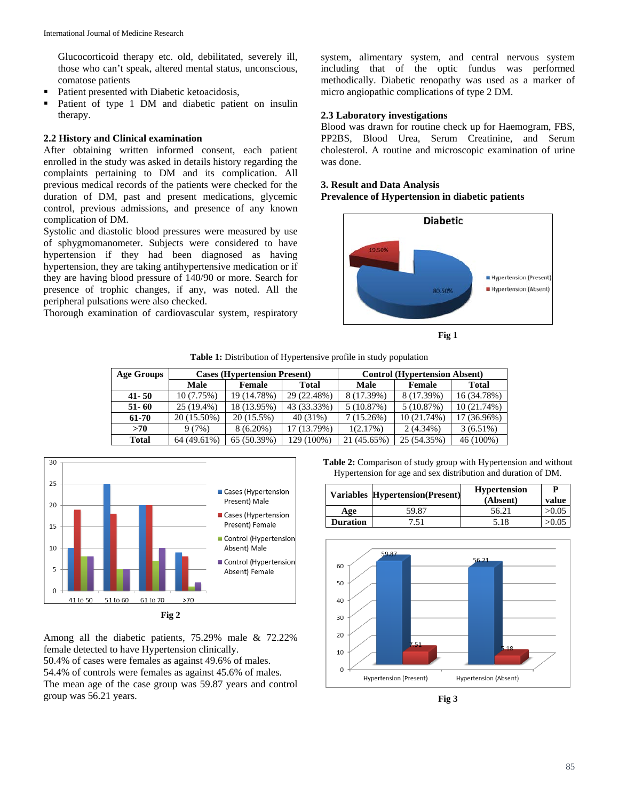Glucocorticoid therapy etc. old, debilitated, severely ill, those who can't speak, altered mental status, unconscious, comatose patients

- Patient presented with Diabetic ketoacidosis,
- Patient of type 1 DM and diabetic patient on insulin therapy.

# **2.2 History and Clinical examination**

After obtaining written informed consent, each patient enrolled in the study was asked in details history regarding the complaints pertaining to DM and its complication. All previous medical records of the patients were checked for the duration of DM, past and present medications, glycemic control, previous admissions, and presence of any known complication of DM.

Systolic and diastolic blood pressures were measured by use of sphygmomanometer. Subjects were considered to have hypertension if they had been diagnosed as having hypertension, they are taking antihypertensive medication or if they are having blood pressure of 140/90 or more. Search for presence of trophic changes, if any, was noted. All the peripheral pulsations were also checked.

Thorough examination of cardiovascular system, respiratory

system, alimentary system, and central nervous system including that of the optic fundus was performed methodically. Diabetic renopathy was used as a marker of micro angiopathic complications of type 2 DM.

# **2.3 Laboratory investigations**

Blood was drawn for routine check up for Haemogram, FBS, PP2BS, Blood Urea, Serum Creatinine, and Serum cholesterol. A routine and microscopic examination of urine was done.

# **3. Result and Data Analysis**

## **Prevalence of Hypertension in diabetic patients**





**Table 1:** Distribution of Hypertensive profile in study population

| Age Groups | <b>Cases (Hypertension Present)</b> |             |             | <b>Control (Hypertension Absent)</b> |             |              |
|------------|-------------------------------------|-------------|-------------|--------------------------------------|-------------|--------------|
|            | Male                                | Female      | Total       | Male                                 | Female      | <b>Total</b> |
| $41 - 50$  | 10 (7.75%)                          | 19 (14.78%) | 29 (22.48%) | 8 (17.39%)                           | 8 (17.39%)  | 16 (34.78%)  |
| $51 - 60$  | $25(19.4\%)$                        | 18 (13.95%) | 43 (33.33%) | 5(10.87%)                            | 5(10.87%)   | 10(21.74%)   |
| 61-70      | 20 (15.50%)                         | 20 (15.5%)  | 40 (31%)    | 7(15.26%)                            | 10 (21.74%) | 17 (36.96%)  |
| >70        | 9(7%)                               | $8(6.20\%)$ | 17 (13.79%) | 1(2.17%)                             | $2(4.34\%)$ | $3(6.51\%)$  |
| Total      | 64 (49.61%)                         | 65 (50.39%) | 129 (100%)  | 21 (45.65%)                          | 25 (54.35%) | 46 (100%)    |



**Fig 2**

Among all the diabetic patients, 75.29% male & 72.22% female detected to have Hypertension clinically.

50.4% of cases were females as against 49.6% of males. 54.4% of controls were females as against 45.6% of males. The mean age of the case group was 59.87 years and control group was 56.21 years.

**Table 2:** Comparison of study group with Hypertension and without Hypertension for age and sex distribution and duration of DM.

|                 | <b>Variables Hypertension (Present)</b> | <b>Hypertension</b><br>(Absent) | P<br>value |
|-----------------|-----------------------------------------|---------------------------------|------------|
| Age             | 59.87                                   | 56.21                           | >0.05      |
| <b>Duration</b> |                                         | 5.18                            |            |



**Fig 3**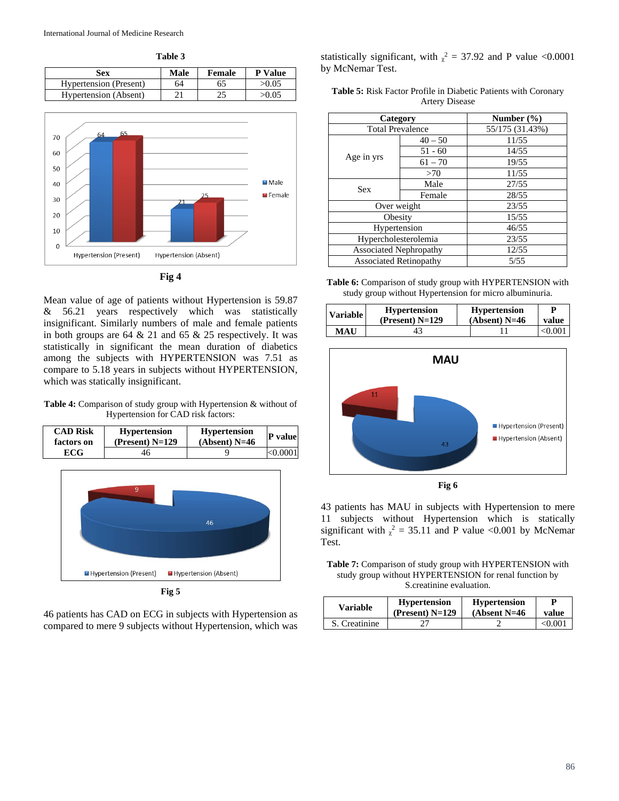**Table 3**

| Sex                           | Male | Female | <b>P</b> Value |
|-------------------------------|------|--------|----------------|
| <b>Hypertension</b> (Present) | 64   | 65     | >0.05          |
| Hypertension (Absent)         | ኅ 1  |        | >0.05          |



#### **Fig 4**

Mean value of age of patients without Hypertension is 59.87 & 56.21 years respectively which was statistically insignificant. Similarly numbers of male and female patients in both groups are  $64 \& 21$  and  $65 \& 25$  respectively. It was statistically in significant the mean duration of diabetics among the subjects with HYPERTENSION was 7.51 as compare to 5.18 years in subjects without HYPERTENSION, which was statically insignificant.

Table 4: Comparison of study group with Hypertension & without of Hypertension for CAD risk factors:

| <b>CAD Risk</b> | <b>Hypertension</b> | <b>Hypertension</b> | <b>P</b> value |
|-----------------|---------------------|---------------------|----------------|
| factors on      | $(Present) N=129$   | $(Absent)$ N=46     |                |
| ECG-            | 46                  |                     | < 0.0001       |



46 patients has CAD on ECG in subjects with Hypertension as compared to mere 9 subjects without Hypertension, which was

statistically significant, with  $\chi^2 = 37.92$  and P value <0.0001 by McNemar Test.

| <b>Table 5:</b> Risk Factor Profile in Diabetic Patients with Coronary |                       |  |  |
|------------------------------------------------------------------------|-----------------------|--|--|
|                                                                        | <b>Artery Disease</b> |  |  |

| Category                      |           | Number $(\% )$  |
|-------------------------------|-----------|-----------------|
| <b>Total Prevalence</b>       |           | 55/175 (31.43%) |
|                               | $40 - 50$ | 11/55           |
|                               | $51 - 60$ | 14/55           |
| Age in yrs                    | $61 - 70$ | 19/55           |
|                               | >70       | 11/55           |
| <b>Sex</b>                    | Male      | 27/55           |
|                               | Female    | 28/55           |
| Over weight                   |           | 23/55           |
| Obesity                       |           | 15/55           |
| Hypertension                  |           | 46/55           |
| Hypercholesterolemia          |           | 23/55           |
| <b>Associated Nephropathy</b> |           | 12/55           |
| <b>Associated Retinopathy</b> |           | 5/55            |

**Table 6:** Comparison of study group with HYPERTENSION with study group without Hypertension for micro albuminuria.

| Variable   | <b>Hypertension</b> | <b>Hypertension</b> | D       |
|------------|---------------------|---------------------|---------|
|            | (Present) $N=129$   | $(Absent)$ N=46     | value   |
| <b>MAU</b> |                     |                     | < 0.001 |



43 patients has MAU in subjects with Hypertension to mere 11 subjects without Hypertension which is statically significant with  $\chi^2 = 35.11$  and P value <0.001 by McNemar Test.

**Table 7:** Comparison of study group with HYPERTENSION with study group without HYPERTENSION for renal function by S.creatinine evaluation.

| <b>Variable</b> | <b>Hypertension</b><br>(Present) $N=129$ | <b>Hypertension</b><br>(Absent $N=46$ | value   |
|-----------------|------------------------------------------|---------------------------------------|---------|
| S. Creatinine   |                                          |                                       | < 0.001 |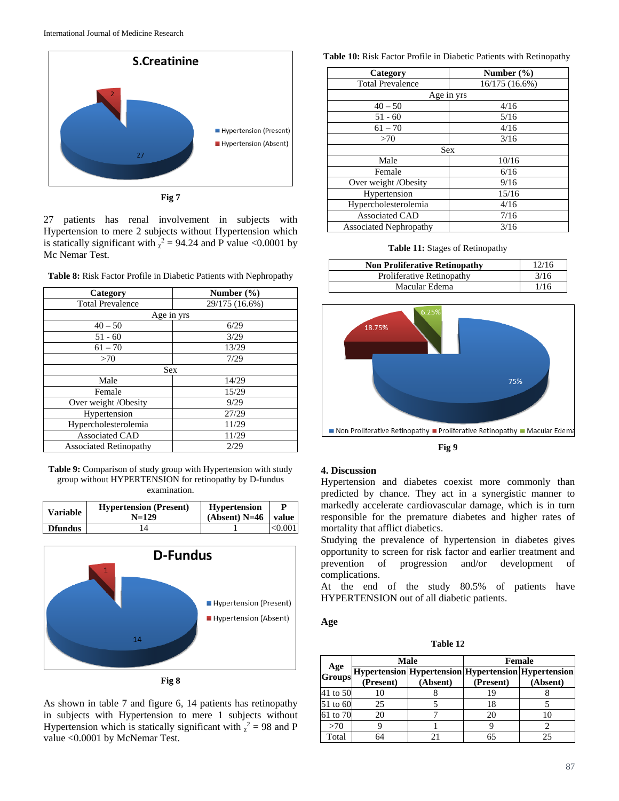

**Fig 7**

27 patients has renal involvement in subjects with Hypertension to mere 2 subjects without Hypertension which is statically significant with  $\chi^2 = 94.24$  and P value <0.0001 by Mc Nemar Test.

| Category                      | Number $(\% )$ |
|-------------------------------|----------------|
| <b>Total Prevalence</b>       | 29/175 (16.6%) |
|                               | Age in yrs     |
| $40 - 50$                     | 6/29           |
| $51 - 60$                     | 3/29           |
| $61 - 70$                     | 13/29          |
| >70                           | 7/29           |
|                               | <b>Sex</b>     |
| Male                          | 14/29          |
| Female                        | 15/29          |
| Over weight /Obesity          | 9/29           |
| Hypertension                  | 27/29          |
| Hypercholesterolemia          | 11/29          |
| <b>Associated CAD</b>         | 11/29          |
| <b>Associated Retinopathy</b> | 2/29           |

**Table 9:** Comparison of study group with Hypertension with study group without HYPERTENSION for retinopathy by D-fundus examination.

| <b>Variable</b> | <b>Hypertension</b> (Present)<br>$N=129$ | <b>Hypertension</b><br>$(Absent)$ N=46 | value   |
|-----------------|------------------------------------------|----------------------------------------|---------|
| <b>D</b> fundus |                                          |                                        | < 0.001 |



As shown in table 7 and figure 6, 14 patients has retinopathy in subjects with Hypertension to mere 1 subjects without Hypertension which is statically significant with  $\chi^2 = 98$  and P value <0.0001 by McNemar Test.

#### **Table 10:** Risk Factor Profile in Diabetic Patients with Retinopathy

| Category                      | Number $(\% )$ |  |
|-------------------------------|----------------|--|
| <b>Total Prevalence</b>       | 16/175 (16.6%) |  |
|                               | Age in yrs     |  |
| $40 - 50$                     | 4/16           |  |
| $51 - 60$                     | 5/16           |  |
| $61 - 70$                     | 4/16           |  |
| >70                           | 3/16           |  |
| <b>Sex</b>                    |                |  |
| Male                          | 10/16          |  |
| Female                        | 6/16           |  |
| Over weight /Obesity          | 9/16           |  |
| Hypertension                  | 15/16          |  |
| Hypercholesterolemia          | 4/16           |  |
| <b>Associated CAD</b>         | 7/16           |  |
| <b>Associated Nephropathy</b> | 3/16           |  |

**Table 11:** Stages of Retinopathy

| <b>Non Proliferative Retinopathy</b> | 12/16 |
|--------------------------------------|-------|
| Proliferative Retinopathy            | 3/16  |
| Macular Edema                        | 1/16  |



**Fig 9**

### **4. Discussion**

Hypertension and diabetes coexist more commonly than predicted by chance. They act in a synergistic manner to markedly accelerate cardiovascular damage, which is in turn responsible for the premature diabetes and higher rates of mortality that afflict diabetics.

Studying the prevalence of hypertension in diabetes gives opportunity to screen for risk factor and earlier treatment and prevention of progression and/or development of complications.

At the end of the study 80.5% of patients have HYPERTENSION out of all diabetic patients.

### **Age**

**Table 12**

|          |           | Male     | <b>Female</b> |                                                         |
|----------|-----------|----------|---------------|---------------------------------------------------------|
|          |           |          |               | Age Hypertension Hypertension Hypertension Hypertension |
|          | (Present) | (Absent) | (Present)     | (Absent)                                                |
| 41 to 50 |           |          | 19            |                                                         |
| 51 to 60 | 25        |          | 18            |                                                         |
| 61 to 70 | 20        |          | 20            |                                                         |
| >70      |           |          |               |                                                         |
| Total    |           |          |               | 25                                                      |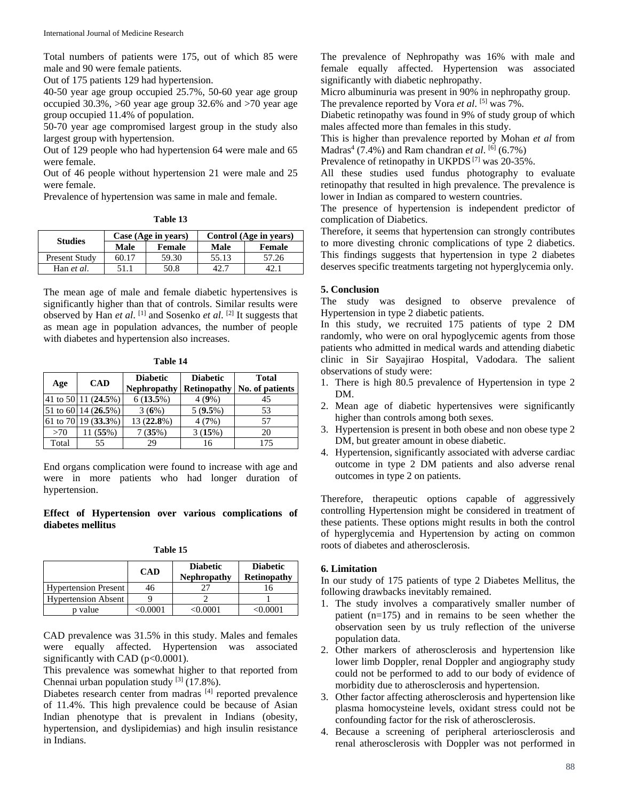Total numbers of patients were 175, out of which 85 were male and 90 were female patients.

Out of 175 patients 129 had hypertension.

40-50 year age group occupied 25.7%, 50-60 year age group occupied 30.3%, >60 year age group 32.6% and >70 year age group occupied 11.4% of population.

50-70 year age compromised largest group in the study also largest group with hypertension.

Out of 129 people who had hypertension 64 were male and 65 were female.

Out of 46 people without hypertension 21 were male and 25 were female.

Prevalence of hypertension was same in male and female.

| Table 1 |  |
|---------|--|
|---------|--|

| Case (Age in years) |        | Control (Age in years) |        |
|---------------------|--------|------------------------|--------|
| Male                | Female | Male                   | Female |
| 60.17               | 59.30  | 55.13                  | 57.26  |
| 51.1                | 50.8   |                        |        |
|                     |        |                        |        |

The mean age of male and female diabetic hypertensives is significantly higher than that of controls. Similar results were observed by Han *et al*. [1] and Sosenko *et al*. [2] It suggests that as mean age in population advances, the number of people with diabetes and hypertension also increases.

| яnі<br>ı |  |
|----------|--|
|          |  |

| Age   | <b>CAD</b>                                  | <b>Diabetic</b><br><b>Nephropathy</b> | <b>Diabetic</b><br><b>Retinopathy</b> | Total<br>No. of patients |
|-------|---------------------------------------------|---------------------------------------|---------------------------------------|--------------------------|
|       | 41 to 50 11 (24.5%)                         | 6(13.5%)                              | 4(9%)                                 | 45                       |
|       | 51 to 60 $\left  \frac{14}{26.5\%} \right $ | 3(6%)                                 | $5(9.5\%)$                            | 53                       |
|       | 61 to 70 19 (33.3%)                         | 13 (22.8%)                            | 4(7%)                                 | 57                       |
| >70   | 11 (55%)                                    | 7(35%)                                | 3(15%)                                | 20                       |
| Total | 55                                          | 29                                    | 16                                    | 175                      |

End organs complication were found to increase with age and were in more patients who had longer duration of hypertension.

## **Effect of Hypertension over various complications of diabetes mellitus**

| able |  |
|------|--|
|------|--|

|                             | <b>CAD</b> | <b>Diabetic</b><br>Nephropathy | <b>Diabetic</b><br><b>Retinopathy</b> |
|-----------------------------|------------|--------------------------------|---------------------------------------|
| <b>Hypertension Present</b> | 46         |                                |                                       |
| <b>Hypertension Absent</b>  |            |                                |                                       |
| p value                     | 0.0001     | ാ റെവ                          | $\leq 0.0001$                         |

CAD prevalence was 31.5% in this study. Males and females were equally affected. Hypertension was associated significantly with CAD  $(p<0.0001)$ .

This prevalence was somewhat higher to that reported from Chennai urban population study  $[3]$  (17.8%).

Diabetes research center from madras [4] reported prevalence of 11.4%. This high prevalence could be because of Asian Indian phenotype that is prevalent in Indians (obesity, hypertension, and dyslipidemias) and high insulin resistance in Indians.

The prevalence of Nephropathy was 16% with male and female equally affected. Hypertension was associated significantly with diabetic nephropathy.

Micro albuminuria was present in 90% in nephropathy group.

The prevalence reported by Vora *et al.* [5] was 7%.

Diabetic retinopathy was found in 9% of study group of which males affected more than females in this study.

This is higher than prevalence reported by Mohan *et al* from Madras<sup>4</sup> (7.4%) and Ram chandran *et al.*  $[6]$  (6.7%)

Prevalence of retinopathy in UKPDS [7] was 20-35%.

All these studies used fundus photography to evaluate retinopathy that resulted in high prevalence. The prevalence is lower in Indian as compared to western countries.

The presence of hypertension is independent predictor of complication of Diabetics.

Therefore, it seems that hypertension can strongly contributes to more divesting chronic complications of type 2 diabetics. This findings suggests that hypertension in type 2 diabetes deserves specific treatments targeting not hyperglycemia only.

# **5. Conclusion**

The study was designed to observe prevalence of Hypertension in type 2 diabetic patients.

In this study, we recruited 175 patients of type 2 DM randomly, who were on oral hypoglycemic agents from those patients who admitted in medical wards and attending diabetic clinic in Sir Sayajirao Hospital, Vadodara. The salient observations of study were:

- 1. There is high 80.5 prevalence of Hypertension in type 2 DM.
- 2. Mean age of diabetic hypertensives were significantly higher than controls among both sexes.
- 3. Hypertension is present in both obese and non obese type 2 DM, but greater amount in obese diabetic.
- 4. Hypertension, significantly associated with adverse cardiac outcome in type 2 DM patients and also adverse renal outcomes in type 2 on patients.

Therefore, therapeutic options capable of aggressively controlling Hypertension might be considered in treatment of these patients. These options might results in both the control of hyperglycemia and Hypertension by acting on common roots of diabetes and atherosclerosis.

## **6. Limitation**

In our study of 175 patients of type 2 Diabetes Mellitus, the following drawbacks inevitably remained.

- 1. The study involves a comparatively smaller number of patient (n=175) and in remains to be seen whether the observation seen by us truly reflection of the universe population data.
- 2. Other markers of atherosclerosis and hypertension like lower limb Doppler, renal Doppler and angiography study could not be performed to add to our body of evidence of morbidity due to atherosclerosis and hypertension.
- 3. Other factor affecting atherosclerosis and hypertension like plasma homocysteine levels, oxidant stress could not be confounding factor for the risk of atherosclerosis.
- 4. Because a screening of peripheral arteriosclerosis and renal atherosclerosis with Doppler was not performed in